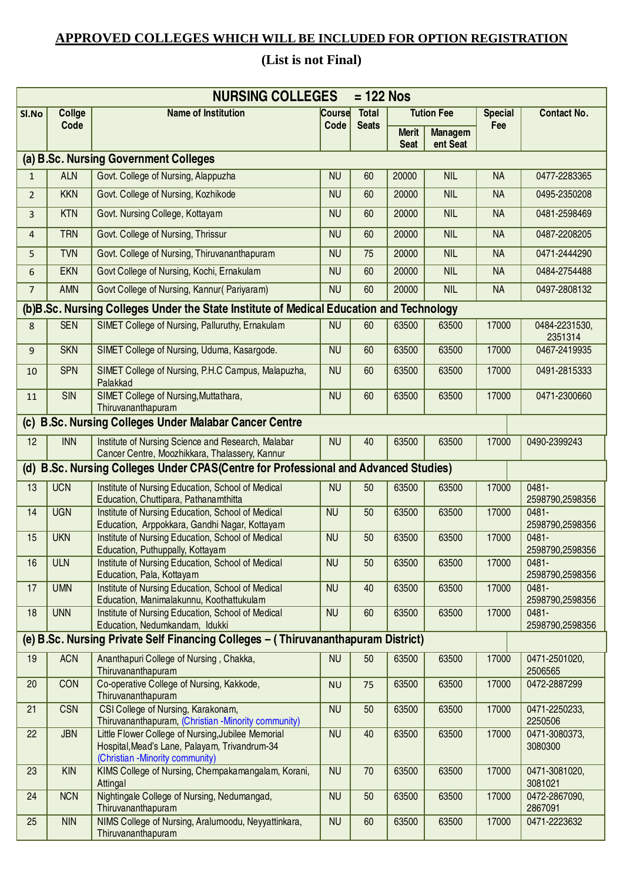## **APPROVED COLLEGES WHICH WILL BE INCLUDED FOR OPTION REGISTRATION**

## **(List is not Final)**

|                |               | <b>NURSING COLLEGES</b>                                                                                                                |           | $= 122$ Nos  |                             |                            |                |                          |
|----------------|---------------|----------------------------------------------------------------------------------------------------------------------------------------|-----------|--------------|-----------------------------|----------------------------|----------------|--------------------------|
| SI.No          | <b>Collge</b> | <b>Name of Institution</b>                                                                                                             | Course    | <b>Total</b> |                             | <b>Tution Fee</b>          | <b>Special</b> | <b>Contact No.</b>       |
|                | Code          |                                                                                                                                        | Code      | <b>Seats</b> | <b>Merit</b><br><b>Seat</b> | <b>Managem</b><br>ent Seat | Fee            |                          |
|                |               | (a) B.Sc. Nursing Government Colleges                                                                                                  |           |              |                             |                            |                |                          |
| $\mathbf{1}$   | <b>ALN</b>    | Govt. College of Nursing, Alappuzha                                                                                                    | <b>NU</b> | 60           | 20000                       | <b>NIL</b>                 | <b>NA</b>      | 0477-2283365             |
| $\overline{2}$ | <b>KKN</b>    | Govt. College of Nursing, Kozhikode                                                                                                    | <b>NU</b> | 60           | 20000                       | <b>NIL</b>                 | <b>NA</b>      | 0495-2350208             |
| $\overline{3}$ | <b>KTN</b>    | Govt. Nursing College, Kottayam                                                                                                        | <b>NU</b> | 60           | 20000                       | <b>NIL</b>                 | <b>NA</b>      | 0481-2598469             |
| $\overline{4}$ | <b>TRN</b>    | Govt. College of Nursing, Thrissur                                                                                                     | <b>NU</b> | 60           | 20000                       | <b>NIL</b>                 | <b>NA</b>      | 0487-2208205             |
| 5              | <b>TVN</b>    | Govt. College of Nursing, Thiruvananthapuram                                                                                           | <b>NU</b> | 75           | 20000                       | <b>NIL</b>                 | <b>NA</b>      | 0471-2444290             |
| 6              | <b>EKN</b>    | Govt College of Nursing, Kochi, Ernakulam                                                                                              | <b>NU</b> | 60           | 20000                       | <b>NIL</b>                 | <b>NA</b>      | 0484-2754488             |
| $\overline{7}$ | AMN           | Govt College of Nursing, Kannur (Pariyaram)                                                                                            | <b>NU</b> | 60           | 20000                       | <b>NIL</b>                 | <b>NA</b>      | 0497-2808132             |
|                |               | (b)B.Sc. Nursing Colleges Under the State Institute of Medical Education and Technology                                                |           |              |                             |                            |                |                          |
| 8              | <b>SEN</b>    | SIMET College of Nursing, Palluruthy, Ernakulam                                                                                        | <b>NU</b> | 60           | 63500                       | 63500                      | 17000          | 0484-2231530,<br>2351314 |
| 9              | <b>SKN</b>    | SIMET College of Nursing, Uduma, Kasargode.                                                                                            | <b>NU</b> | 60           | 63500                       | 63500                      | 17000          | 0467-2419935             |
| 10             | <b>SPN</b>    | SIMET College of Nursing, P.H.C Campus, Malapuzha,<br>Palakkad                                                                         | <b>NU</b> | 60           | 63500                       | 63500                      | 17000          | 0491-2815333             |
| 11             | SIN           | SIMET College of Nursing, Muttathara,<br>Thiruvananthapuram                                                                            | <b>NU</b> | 60           | 63500                       | 63500                      | 17000          | 0471-2300660             |
|                |               | (c) B.Sc. Nursing Colleges Under Malabar Cancer Centre                                                                                 |           |              |                             |                            |                |                          |
| 12             | <b>INN</b>    | Institute of Nursing Science and Research, Malabar<br>Cancer Centre, Moozhikkara, Thalassery, Kannur                                   | <b>NU</b> | 40           | 63500                       | 63500                      | 17000          | 0490-2399243             |
|                |               | (d) B.Sc. Nursing Colleges Under CPAS(Centre for Professional and Advanced Studies)                                                    |           |              |                             |                            |                |                          |
| 13             | <b>UCN</b>    | Institute of Nursing Education, School of Medical<br>Education, Chuttipara, Pathanamthitta                                             | <b>NU</b> | 50           | 63500                       | 63500                      | 17000          | 0481-<br>2598790,2598356 |
| 14             | <b>UGN</b>    | Institute of Nursing Education, School of Medical<br>Education, Arppokkara, Gandhi Nagar, Kottayam                                     | <b>NU</b> | 50           | 63500                       | 63500                      | 17000          | 0481-<br>2598790,2598356 |
| 15             | <b>UKN</b>    | Institute of Nursing Education, School of Medical<br>Education, Puthuppally, Kottayam                                                  | <b>NU</b> | 50           | 63500                       | 63500                      | 17000          | 0481-<br>2598790,2598356 |
| 16             | <b>ULN</b>    | Institute of Nursing Education, School of Medical<br>Education, Pala, Kottayam                                                         | <b>NU</b> | 50           | 63500                       | 63500                      | 17000          | 0481-<br>2598790,2598356 |
| 17             | <b>UMN</b>    | Institute of Nursing Education, School of Medical<br>Education, Manimalakunnu, Koothattukulam                                          | <b>NU</b> | 40           | 63500                       | 63500                      | 17000          | 0481-<br>2598790,2598356 |
| 18             | <b>UNN</b>    | Institute of Nursing Education, School of Medical<br>Education, Nedumkandam, Idukki                                                    | <b>NU</b> | 60           | 63500                       | 63500                      | 17000          | 0481-<br>2598790,2598356 |
|                |               | (e) B.Sc. Nursing Private Self Financing Colleges - (Thiruvananthapuram District)                                                      |           |              |                             |                            |                |                          |
| 19             | <b>ACN</b>    | Ananthapuri College of Nursing, Chakka,<br>Thiruvananthapuram                                                                          | <b>NU</b> | 50           | 63500                       | 63500                      | 17000          | 0471-2501020,<br>2506565 |
| 20             | CON           | Co-operative College of Nursing, Kakkode,<br>Thiruvananthapuram                                                                        | <b>NU</b> | 75           | 63500                       | 63500                      | 17000          | 0472-2887299             |
| 21             | <b>CSN</b>    | CSI College of Nursing, Karakonam,<br>Thiruvananthapuram, (Christian -Minority community)                                              | <b>NU</b> | 50           | 63500                       | 63500                      | 17000          | 0471-2250233,<br>2250506 |
| 22             | <b>JBN</b>    | Little Flower College of Nursing, Jubilee Memorial<br>Hospital, Mead's Lane, Palayam, Trivandrum-34<br>(Christian -Minority community) | <b>NU</b> | 40           | 63500                       | 63500                      | 17000          | 0471-3080373,<br>3080300 |
| 23             | <b>KIN</b>    | KIMS College of Nursing, Chempakamangalam, Korani,<br>Attingal                                                                         | <b>NU</b> | 70           | 63500                       | 63500                      | 17000          | 0471-3081020,<br>3081021 |
| 24             | <b>NCN</b>    | Nightingale College of Nursing, Nedumangad,<br>Thiruvananthapuram                                                                      | <b>NU</b> | 50           | 63500                       | 63500                      | 17000          | 0472-2867090,<br>2867091 |
| 25             | <b>NIN</b>    | NIMS College of Nursing, Aralumoodu, Neyyattinkara,<br>Thiruvananthapuram                                                              | <b>NU</b> | 60           | 63500                       | 63500                      | 17000          | 0471-2223632             |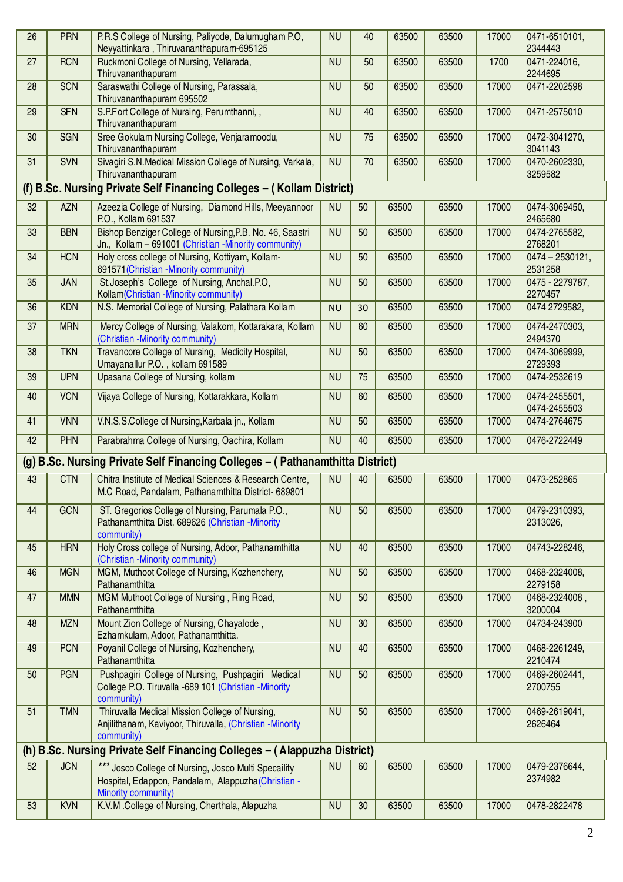| 26 | <b>PRN</b>                                                                    | P.R.S College of Nursing, Paliyode, Dalumugham P.O.<br>Neyyattinkara, Thiruvananthapuram-695125                                    | <b>NU</b> | 40 | 63500 | 63500 | 17000 | 0471-6510101,<br>2344443                |  |
|----|-------------------------------------------------------------------------------|------------------------------------------------------------------------------------------------------------------------------------|-----------|----|-------|-------|-------|-----------------------------------------|--|
| 27 | <b>RCN</b>                                                                    | Ruckmoni College of Nursing, Vellarada,<br>Thiruvananthapuram                                                                      | <b>NU</b> | 50 | 63500 | 63500 | 1700  | 0471-224016,<br>2244695                 |  |
| 28 | <b>SCN</b>                                                                    | Saraswathi College of Nursing, Parassala,<br>Thiruvananthapuram 695502                                                             | <b>NU</b> | 50 | 63500 | 63500 | 17000 | 0471-2202598                            |  |
| 29 | <b>SFN</b>                                                                    | S.P.Fort College of Nursing, Perumthanni, ,<br>Thiruvananthapuram                                                                  | <b>NU</b> | 40 | 63500 | 63500 | 17000 | 0471-2575010                            |  |
| 30 | <b>SGN</b>                                                                    | Sree Gokulam Nursing College, Venjaramoodu,<br>Thiruvananthapuram                                                                  | <b>NU</b> | 75 | 63500 | 63500 | 17000 | 0472-3041270,<br>3041143                |  |
| 31 | <b>SVN</b>                                                                    | Sivagiri S.N. Medical Mission College of Nursing, Varkala,<br>Thiruvananthapuram                                                   | <b>NU</b> | 70 | 63500 | 63500 | 17000 | 0470-2602330,<br>3259582                |  |
|    |                                                                               | (f) B.Sc. Nursing Private Self Financing Colleges - (Kollam District)                                                              |           |    |       |       |       |                                         |  |
| 32 | <b>AZN</b>                                                                    | Azeezia College of Nursing, Diamond Hills, Meeyannoor<br>P.O., Kollam 691537                                                       | <b>NU</b> | 50 | 63500 | 63500 | 17000 | 0474-3069450,<br>2465680                |  |
| 33 | <b>BBN</b>                                                                    | Bishop Benziger College of Nursing, P.B. No. 46, Saastri<br>Jn., Kollam - 691001 (Christian -Minority community)                   | <b>NU</b> | 50 | 63500 | 63500 | 17000 | 0474-2765582,<br>2768201                |  |
| 34 | <b>HCN</b>                                                                    | Holy cross college of Nursing, Kottiyam, Kollam-<br>691571 (Christian -Minority community)                                         | <b>NU</b> | 50 | 63500 | 63500 | 17000 | $\overline{0474} - 2530121,$<br>2531258 |  |
| 35 | <b>JAN</b>                                                                    | St.Joseph's College of Nursing, Anchal.P.O.<br>Kollam(Christian -Minority community)                                               | <b>NU</b> | 50 | 63500 | 63500 | 17000 | 0475 - 2279787,<br>2270457              |  |
| 36 | <b>KDN</b>                                                                    | N.S. Memorial College of Nursing, Palathara Kollam                                                                                 | <b>NU</b> | 30 | 63500 | 63500 | 17000 | 0474 2729582,                           |  |
| 37 | <b>MRN</b>                                                                    | Mercy College of Nursing, Valakom, Kottarakara, Kollam<br>(Christian -Minority community)                                          | <b>NU</b> | 60 | 63500 | 63500 | 17000 | 0474-2470303,<br>2494370                |  |
| 38 | <b>TKN</b>                                                                    | Travancore College of Nursing, Medicity Hospital,<br>Umayanallur P.O., kollam 691589                                               | <b>NU</b> | 50 | 63500 | 63500 | 17000 | 0474-3069999,<br>2729393                |  |
| 39 | <b>UPN</b>                                                                    | Upasana College of Nursing, kollam                                                                                                 | <b>NU</b> | 75 | 63500 | 63500 | 17000 | 0474-2532619                            |  |
| 40 | <b>VCN</b>                                                                    | Vijaya College of Nursing, Kottarakkara, Kollam                                                                                    | <b>NU</b> | 60 | 63500 | 63500 | 17000 | 0474-2455501,<br>0474-2455503           |  |
| 41 | <b>VNN</b>                                                                    | V.N.S.S.College of Nursing, Karbala jn., Kollam                                                                                    | <b>NU</b> | 50 | 63500 | 63500 | 17000 | 0474-2764675                            |  |
| 42 | <b>PHN</b>                                                                    | Parabrahma College of Nursing, Oachira, Kollam                                                                                     | <b>NU</b> | 40 | 63500 | 63500 | 17000 | 0476-2722449                            |  |
|    | (g) B.Sc. Nursing Private Self Financing Colleges - (Pathanamthitta District) |                                                                                                                                    |           |    |       |       |       |                                         |  |
| 43 | <b>CTN</b>                                                                    | Chitra Institute of Medical Sciences & Research Centre,<br>M.C Road, Pandalam, Pathanamthitta District- 689801                     | <b>NU</b> | 40 | 63500 | 63500 | 17000 | 0473-252865                             |  |
| 44 | GCN                                                                           | ST. Gregorios College of Nursing, Parumala P.O.,<br>Pathanamthitta Dist. 689626 (Christian -Minority<br>community)                 | <b>NU</b> | 50 | 63500 | 63500 | 17000 | 0479-2310393,<br>2313026,               |  |
| 45 | <b>HRN</b>                                                                    | Holy Cross college of Nursing, Adoor, Pathanamthitta<br>(Christian -Minority community)                                            | <b>NU</b> | 40 | 63500 | 63500 | 17000 | 04743-228246,                           |  |
| 46 | <b>MGN</b>                                                                    | MGM, Muthoot College of Nursing, Kozhenchery,<br>Pathanamthitta                                                                    | <b>NU</b> | 50 | 63500 | 63500 | 17000 | 0468-2324008,<br>2279158                |  |
| 47 | <b>MMN</b>                                                                    | MGM Muthoot College of Nursing, Ring Road,<br>Pathanamthitta                                                                       | <b>NU</b> | 50 | 63500 | 63500 | 17000 | 0468-2324008,<br>3200004                |  |
| 48 | <b>MZN</b>                                                                    | Mount Zion College of Nursing, Chayalode,<br>Ezhamkulam, Adoor, Pathanamthitta.                                                    | <b>NU</b> | 30 | 63500 | 63500 | 17000 | 04734-243900                            |  |
| 49 | <b>PCN</b>                                                                    | Poyanil College of Nursing, Kozhenchery,<br>Pathanamthitta                                                                         | <b>NU</b> | 40 | 63500 | 63500 | 17000 | 0468-2261249,<br>2210474                |  |
| 50 | <b>PGN</b>                                                                    | Pushpagiri College of Nursing, Pushpagiri Medical<br>College P.O. Tiruvalla -689 101 (Christian -Minority<br>community)            | <b>NU</b> | 50 | 63500 | 63500 | 17000 | 0469-2602441,<br>2700755                |  |
| 51 | <b>TMN</b>                                                                    | Thiruvalla Medical Mission College of Nursing,<br>Anjilithanam, Kaviyoor, Thiruvalla, (Christian -Minority<br>community)           | <b>NU</b> | 50 | 63500 | 63500 | 17000 | 0469-2619041,<br>2626464                |  |
|    |                                                                               | (h) B.Sc. Nursing Private Self Financing Colleges - (Alappuzha District)                                                           |           |    |       |       |       |                                         |  |
| 52 | <b>JCN</b>                                                                    | *** Josco College of Nursing, Josco Multi Specaility<br>Hospital, Edappon, Pandalam, Alappuzha (Christian -<br>Minority community) | <b>NU</b> | 60 | 63500 | 63500 | 17000 | 0479-2376644,<br>2374982                |  |
| 53 | <b>KVN</b>                                                                    | K.V.M.College of Nursing, Cherthala, Alapuzha                                                                                      | <b>NU</b> | 30 | 63500 | 63500 | 17000 | 0478-2822478                            |  |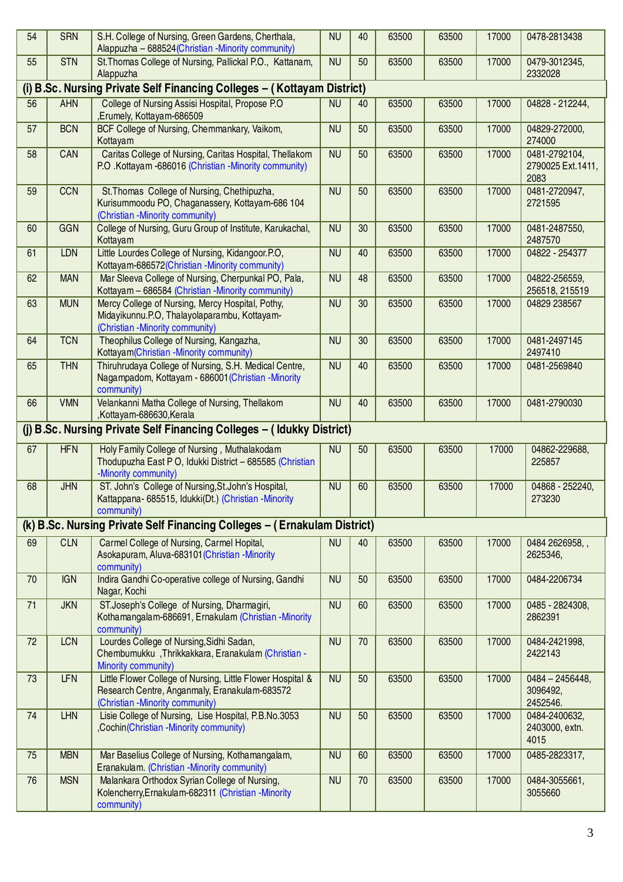| 54 | <b>SRN</b>                                                            | S.H. College of Nursing, Green Gardens, Cherthala,<br>Alappuzha - 688524 (Christian - Minority community)                                      | <b>NU</b> | 40 | 63500 | 63500 | 17000 | 0478-2813438                                |  |  |
|----|-----------------------------------------------------------------------|------------------------------------------------------------------------------------------------------------------------------------------------|-----------|----|-------|-------|-------|---------------------------------------------|--|--|
| 55 | <b>STN</b>                                                            | St. Thomas College of Nursing, Pallickal P.O., Kattanam,<br>Alappuzha                                                                          | <b>NU</b> | 50 | 63500 | 63500 | 17000 | 0479-3012345,<br>2332028                    |  |  |
|    |                                                                       | (i) B.Sc. Nursing Private Self Financing Colleges - (Kottayam District)                                                                        |           |    |       |       |       |                                             |  |  |
| 56 | <b>AHN</b>                                                            | College of Nursing Assisi Hospital, Propose P.O.<br>,Erumely, Kottayam-686509                                                                  | <b>NU</b> | 40 | 63500 | 63500 | 17000 | 04828 - 212244,                             |  |  |
| 57 | <b>BCN</b>                                                            | BCF College of Nursing, Chemmankary, Vaikom,<br>Kottayam                                                                                       | <b>NU</b> | 50 | 63500 | 63500 | 17000 | 04829-272000,<br>274000                     |  |  |
| 58 | CAN                                                                   | Caritas College of Nursing, Caritas Hospital, Thellakom<br>P.O. Kottayam -686016 (Christian -Minority community)                               | <b>NU</b> | 50 | 63500 | 63500 | 17000 | 0481-2792104,<br>2790025 Ext. 1411,<br>2083 |  |  |
| 59 | <b>CCN</b>                                                            | St. Thomas College of Nursing, Chethipuzha,<br>Kurisummoodu PO, Chaganassery, Kottayam-686 104<br>(Christian - Minority community)             | <b>NU</b> | 50 | 63500 | 63500 | 17000 | 0481-2720947,<br>2721595                    |  |  |
| 60 | GGN                                                                   | College of Nursing, Guru Group of Institute, Karukachal,<br>Kottayam                                                                           | <b>NU</b> | 30 | 63500 | 63500 | 17000 | 0481-2487550,<br>2487570                    |  |  |
| 61 | <b>LDN</b>                                                            | Little Lourdes College of Nursing, Kidangoor.P.O,<br>Kottayam-686572(Christian -Minority community)                                            | <b>NU</b> | 40 | 63500 | 63500 | 17000 | 04822 - 254377                              |  |  |
| 62 | <b>MAN</b>                                                            | Mar Sleeva College of Nursing, Cherpunkal PO, Pala,<br>Kottayam - 686584 (Christian -Minority community)                                       | <b>NU</b> | 48 | 63500 | 63500 | 17000 | 04822-256559,<br>256518, 215519             |  |  |
| 63 | <b>MUN</b>                                                            | Mercy College of Nursing, Mercy Hospital, Pothy,<br>Midayikunnu.P.O, Thalayolaparambu, Kottayam-<br>(Christian - Minority community)           | <b>NU</b> | 30 | 63500 | 63500 | 17000 | 04829 238567                                |  |  |
| 64 | <b>TCN</b>                                                            | Theophilus College of Nursing, Kangazha,<br>Kottayam(Christian -Minority community)                                                            | <b>NU</b> | 30 | 63500 | 63500 | 17000 | 0481-2497145<br>2497410                     |  |  |
| 65 | <b>THN</b>                                                            | Thiruhrudaya College of Nursing, S.H. Medical Centre,<br>Nagampadom, Kottayam - 686001 (Christian -Minority<br>community)                      | <b>NU</b> | 40 | 63500 | 63500 | 17000 | 0481-2569840                                |  |  |
| 66 | <b>VMN</b>                                                            | Velankanni Matha College of Nursing, Thellakom<br>,Kottayam-686630,Kerala                                                                      | <b>NU</b> | 40 | 63500 | 63500 | 17000 | 0481-2790030                                |  |  |
|    | (j) B.Sc. Nursing Private Self Financing Colleges - (Idukky District) |                                                                                                                                                |           |    |       |       |       |                                             |  |  |
| 67 | <b>HFN</b>                                                            | Holy Family College of Nursing, Muthalakodam<br>Thodupuzha East P O, Idukki District - 685585 (Christian<br>-Minority community)               | <b>NU</b> | 50 | 63500 | 63500 | 17000 | 04862-229688,<br>225857                     |  |  |
| 68 | <b>JHN</b>                                                            | ST. John's College of Nursing, St. John's Hospital,<br>Kattappana- 685515, Idukki(Dt.) (Christian -Minority<br>community)                      | <b>NU</b> | 60 | 63500 | 63500 | 17000 | 04868 - 252240,<br>273230                   |  |  |
|    |                                                                       | (k) B.Sc. Nursing Private Self Financing Colleges - (Ernakulam District)                                                                       |           |    |       |       |       |                                             |  |  |
| 69 | <b>CLN</b>                                                            | Carmel College of Nursing, Carmel Hopital,<br>Asokapuram, Aluva-683101 (Christian -Minority<br>community)                                      | <b>NU</b> | 40 | 63500 | 63500 | 17000 | 0484 2626958,,<br>2625346,                  |  |  |
| 70 | <b>IGN</b>                                                            | Indira Gandhi Co-operative college of Nursing, Gandhi<br>Nagar, Kochi                                                                          | <b>NU</b> | 50 | 63500 | 63500 | 17000 | 0484-2206734                                |  |  |
| 71 | <b>JKN</b>                                                            | ST.Joseph's College of Nursing, Dharmagiri,<br>Kothamangalam-686691, Ernakulam (Christian -Minority<br>community)                              | <b>NU</b> | 60 | 63500 | 63500 | 17000 | 0485 - 2824308,<br>2862391                  |  |  |
| 72 | <b>LCN</b>                                                            | Lourdes College of Nursing, Sidhi Sadan,<br>Chembumukku, Thrikkakkara, Eranakulam (Christian -<br>Minority community)                          | <b>NU</b> | 70 | 63500 | 63500 | 17000 | 0484-2421998,<br>2422143                    |  |  |
| 73 | <b>LFN</b>                                                            | Little Flower College of Nursing, Little Flower Hospital &<br>Research Centre, Anganmaly, Eranakulam-683572<br>(Christian -Minority community) | <b>NU</b> | 50 | 63500 | 63500 | 17000 | $0484 - 2456448,$<br>3096492,<br>2452546.   |  |  |
| 74 | <b>LHN</b>                                                            | Lisie College of Nursing, Lise Hospital, P.B.No.3053<br>,Cochin(Christian -Minority community)                                                 | <b>NU</b> | 50 | 63500 | 63500 | 17000 | 0484-2400632,<br>2403000, extn.<br>4015     |  |  |
| 75 | <b>MBN</b>                                                            | Mar Baselius College of Nursing, Kothamangalam,<br>Eranakulam. (Christian -Minority community)                                                 | <b>NU</b> | 60 | 63500 | 63500 | 17000 | 0485-2823317,                               |  |  |
| 76 | <b>MSN</b>                                                            | Malankara Orthodox Syrian College of Nursing,<br>Kolencherry, Ernakulam-682311 (Christian - Minority<br>community)                             | <b>NU</b> | 70 | 63500 | 63500 | 17000 | 0484-3055661,<br>3055660                    |  |  |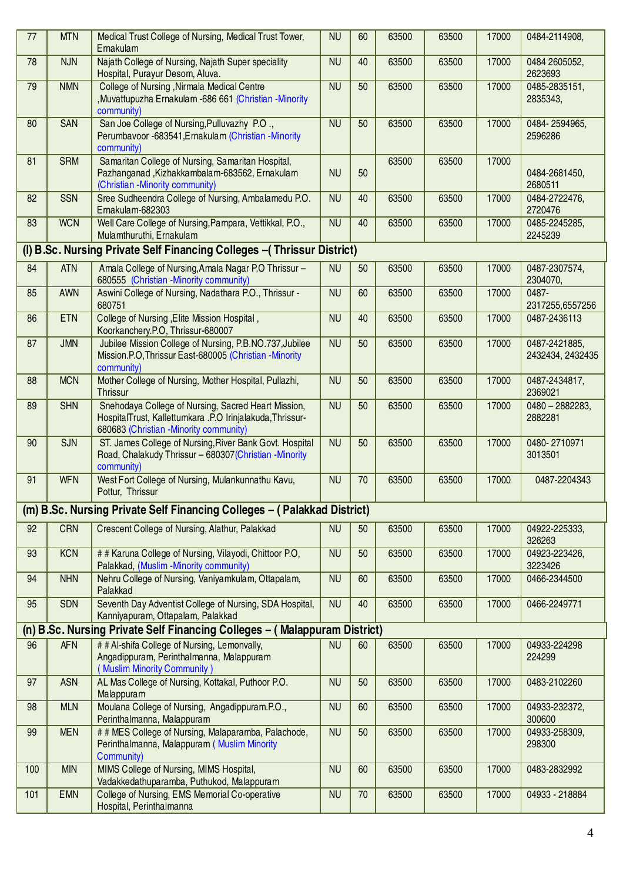| 77  | <b>MTN</b> | Medical Trust College of Nursing, Medical Trust Tower,<br>Ernakulam                                                                                         | <b>NU</b> | 60 | 63500 | 63500 | 17000 | 0484-2114908,                     |
|-----|------------|-------------------------------------------------------------------------------------------------------------------------------------------------------------|-----------|----|-------|-------|-------|-----------------------------------|
| 78  | <b>NJN</b> | Najath College of Nursing, Najath Super speciality<br>Hospital, Purayur Desom, Aluva.                                                                       | <b>NU</b> | 40 | 63500 | 63500 | 17000 | 0484 2605052,<br>2623693          |
| 79  | <b>NMN</b> | <b>College of Nursing, Nirmala Medical Centre</b><br>, Muvattupuzha Ernakulam -686 661 (Christian - Minority<br>community)                                  | <b>NU</b> | 50 | 63500 | 63500 | 17000 | 0485-2835151,<br>2835343,         |
| 80  | SAN        | San Joe College of Nursing, Pulluvazhy P.O.,<br>Perumbavoor -683541, Ernakulam (Christian -Minority<br>community)                                           | <b>NU</b> | 50 | 63500 | 63500 | 17000 | 0484-2594965,<br>2596286          |
| 81  | <b>SRM</b> | Samaritan College of Nursing, Samaritan Hospital,<br>Pazhanganad, Kizhakkambalam-683562, Ernakulam<br>(Christian - Minority community)                      | <b>NU</b> | 50 | 63500 | 63500 | 17000 | 0484-2681450,<br>2680511          |
| 82  | <b>SSN</b> | Sree Sudheendra College of Nursing, Ambalamedu P.O.<br>Ernakulam-682303                                                                                     | <b>NU</b> | 40 | 63500 | 63500 | 17000 | 0484-2722476,<br>2720476          |
| 83  | <b>WCN</b> | Well Care College of Nursing, Pampara, Vettikkal, P.O.,<br>Mulamthuruthi, Ernakulam                                                                         | <b>NU</b> | 40 | 63500 | 63500 | 17000 | 0485-2245285,<br>2245239          |
|     |            | (I) B.Sc. Nursing Private Self Financing Colleges - (Thrissur District)                                                                                     |           |    |       |       |       |                                   |
| 84  | <b>ATN</b> | Amala College of Nursing, Amala Nagar P.O Thrissur -<br>680555 (Christian -Minority community)                                                              | <b>NU</b> | 50 | 63500 | 63500 | 17000 | 0487-2307574,<br>2304070,         |
| 85  | AWN        | Aswini College of Nursing, Nadathara P.O., Thrissur -<br>680751                                                                                             | <b>NU</b> | 60 | 63500 | 63500 | 17000 | 0487-<br>2317255,6557256          |
| 86  | <b>ETN</b> | College of Nursing , Elite Mission Hospital,<br>Koorkanchery.P.O, Thrissur-680007                                                                           | <b>NU</b> | 40 | 63500 | 63500 | 17000 | 0487-2436113                      |
| 87  | <b>JMN</b> | Jubilee Mission College of Nursing, P.B.NO.737, Jubilee<br>Mission.P.O, Thrissur East-680005 (Christian -Minority<br>community)                             | <b>NU</b> | 50 | 63500 | 63500 | 17000 | 0487-2421885,<br>2432434, 2432435 |
| 88  | <b>MCN</b> | Mother College of Nursing, Mother Hospital, Pullazhi,<br><b>Thrissur</b>                                                                                    | <b>NU</b> | 50 | 63500 | 63500 | 17000 | 0487-2434817,<br>2369021          |
| 89  | <b>SHN</b> | Snehodaya College of Nursing, Sacred Heart Mission,<br>HospitalTrust, Kallettumkara .P.O Irinjalakuda, Thrissur-<br>680683 (Christian - Minority community) | <b>NU</b> | 50 | 63500 | 63500 | 17000 | $0480 - 2882283,$<br>2882281      |
| 90  | <b>SJN</b> | ST. James College of Nursing, River Bank Govt. Hospital<br>Road, Chalakudy Thrissur - 680307 (Christian - Minority<br>community)                            | <b>NU</b> | 50 | 63500 | 63500 | 17000 | 0480-2710971<br>3013501           |
| 91  | <b>WFN</b> | West Fort College of Nursing, Mulankunnathu Kavu,<br>Pottur, Thrissur                                                                                       | <b>NU</b> | 70 | 63500 | 63500 | 17000 | 0487-2204343                      |
|     |            | (m) B.Sc. Nursing Private Self Financing Colleges - (Palakkad District)                                                                                     |           |    |       |       |       |                                   |
| 92  | <b>CRN</b> | Crescent College of Nursing, Alathur, Palakkad                                                                                                              | <b>NU</b> | 50 | 63500 | 63500 | 17000 | 04922-225333,<br>326263           |
| 93  | <b>KCN</b> | # # Karuna College of Nursing, Vilayodi, Chittoor P.O,<br>Palakkad, (Muslim -Minority community)                                                            | <b>NU</b> | 50 | 63500 | 63500 | 17000 | 04923-223426,<br>3223426          |
| 94  | <b>NHN</b> | Nehru College of Nursing, Vaniyamkulam, Ottapalam,<br>Palakkad                                                                                              | <b>NU</b> | 60 | 63500 | 63500 | 17000 | 0466-2344500                      |
| 95  | <b>SDN</b> | Seventh Day Adventist College of Nursing, SDA Hospital,<br>Kanniyapuram, Ottapalam, Palakkad                                                                | <b>NU</b> | 40 | 63500 | 63500 | 17000 | 0466-2249771                      |
|     |            | (n) B.Sc. Nursing Private Self Financing Colleges - (Malappuram District)                                                                                   |           |    |       |       |       |                                   |
| 96  | <b>AFN</b> | # # Al-shifa College of Nursing, Lemonvally,<br>Angadippuram, Perinthalmanna, Malappuram<br>Muslim Minority Community)                                      | <b>NU</b> | 60 | 63500 | 63500 | 17000 | 04933-224298<br>224299            |
| 97  | <b>ASN</b> | AL Mas College of Nursing, Kottakal, Puthoor P.O.<br>Malappuram                                                                                             | <b>NU</b> | 50 | 63500 | 63500 | 17000 | 0483-2102260                      |
| 98  | <b>MLN</b> | Moulana College of Nursing, Angadippuram.P.O.,<br>Perinthalmanna, Malappuram                                                                                | <b>NU</b> | 60 | 63500 | 63500 | 17000 | 04933-232372,<br>300600           |
| 99  | <b>MEN</b> | # # MES College of Nursing, Malaparamba, Palachode,<br>Perinthalmanna, Malappuram (Muslim Minority<br>Community)                                            | <b>NU</b> | 50 | 63500 | 63500 | 17000 | 04933-258309,<br>298300           |
| 100 | <b>MIN</b> | MIMS College of Nursing, MIMS Hospital,<br>Vadakkedathuparamba, Puthukod, Malappuram                                                                        | <b>NU</b> | 60 | 63500 | 63500 | 17000 | 0483-2832992                      |
| 101 | <b>EMN</b> | College of Nursing, EMS Memorial Co-operative<br>Hospital, Perinthalmanna                                                                                   | <b>NU</b> | 70 | 63500 | 63500 | 17000 | 04933 - 218884                    |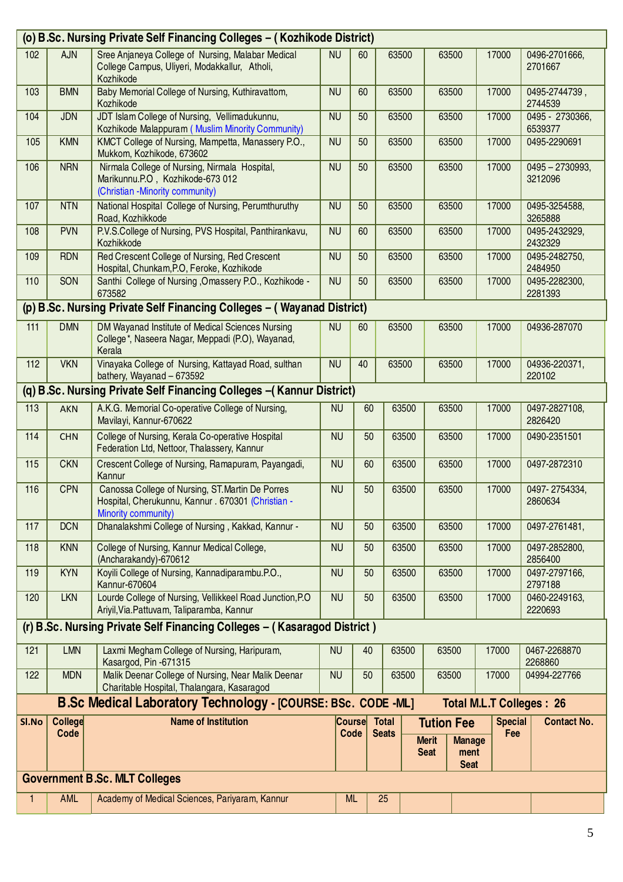|       | (o) B.Sc. Nursing Private Self Financing Colleges - (Kozhikode District) |                                                                                                                               |           |                       |                       |       |                                                  |                       |                                 |                              |
|-------|--------------------------------------------------------------------------|-------------------------------------------------------------------------------------------------------------------------------|-----------|-----------------------|-----------------------|-------|--------------------------------------------------|-----------------------|---------------------------------|------------------------------|
| 102   | <b>AJN</b>                                                               | Sree Anjaneya College of Nursing, Malabar Medical<br>College Campus, Uliyeri, Modakkallur, Atholi,<br>Kozhikode               | <b>NU</b> | 60                    |                       | 63500 |                                                  | 63500                 | 17000                           | 0496-2701666,<br>2701667     |
| 103   | <b>BMN</b>                                                               | Baby Memorial College of Nursing, Kuthiravattom,<br>Kozhikode                                                                 | <b>NU</b> | 60                    |                       | 63500 |                                                  | 63500                 | 17000                           | 0495-2744739,<br>2744539     |
| 104   | <b>JDN</b>                                                               | JDT Islam College of Nursing, Vellimadukunnu,<br>Kozhikode Malappuram (Muslim Minority Community)                             | <b>NU</b> | 50                    |                       | 63500 |                                                  | 63500                 | 17000                           | 0495 - 2730366,<br>6539377   |
| 105   | <b>KMN</b>                                                               | KMCT College of Nursing, Mampetta, Manassery P.O.,<br>Mukkom, Kozhikode, 673602                                               | <b>NU</b> | 50                    |                       | 63500 |                                                  | 63500                 | 17000                           | 0495-2290691                 |
| 106   | <b>NRN</b>                                                               | Nirmala College of Nursing, Nirmala Hospital,<br>Marikunnu.P.O, Kozhikode-673 012<br>(Christian -Minority community)          | <b>NU</b> | 50                    |                       | 63500 |                                                  | 63500                 | 17000                           | $0495 - 2730993,$<br>3212096 |
| 107   | <b>NTN</b>                                                               | National Hospital College of Nursing, Perumthuruthy<br>Road, Kozhikkode                                                       | <b>NU</b> | 50                    |                       | 63500 | 63500                                            |                       | 17000                           | 0495-3254588,<br>3265888     |
| 108   | <b>PVN</b>                                                               | P.V.S.College of Nursing, PVS Hospital, Panthirankavu,<br>Kozhikkode                                                          | <b>NU</b> | 60                    |                       | 63500 | 63500                                            |                       | 17000                           | 0495-2432929,<br>2432329     |
| 109   | <b>RDN</b>                                                               | Red Crescent College of Nursing, Red Crescent<br>Hospital, Chunkam, P.O, Feroke, Kozhikode                                    | <b>NU</b> | 50                    |                       | 63500 | 63500                                            |                       | 17000                           | 0495-2482750,<br>2484950     |
| 110   | SON                                                                      | Santhi College of Nursing , Omassery P.O., Kozhikode -<br>673582                                                              | <b>NU</b> | 50                    |                       | 63500 |                                                  | 63500                 | 17000                           | 0495-2282300,<br>2281393     |
|       |                                                                          | (p) B.Sc. Nursing Private Self Financing Colleges - (Wayanad District)                                                        |           |                       |                       |       |                                                  |                       |                                 |                              |
| $111$ | <b>DMN</b>                                                               | DM Wayanad Institute of Medical Sciences Nursing<br>College*, Naseera Nagar, Meppadi (P.O), Wayanad,<br>Kerala                | <b>NU</b> | 60                    |                       | 63500 |                                                  | 63500                 | 17000                           | 04936-287070                 |
| 112   | <b>VKN</b>                                                               | Vinayaka College of Nursing, Kattayad Road, sulthan<br>bathery, Wayanad - 673592                                              | <b>NU</b> | 40                    |                       | 63500 |                                                  | 63500                 | 17000                           | 04936-220371,<br>220102      |
|       |                                                                          | (q) B.Sc. Nursing Private Self Financing Colleges - (Kannur District)                                                         |           |                       |                       |       |                                                  |                       |                                 |                              |
| 113   | <b>AKN</b>                                                               | A.K.G. Memorial Co-operative College of Nursing,<br>Mavilayi, Kannur-670622                                                   | <b>NU</b> | 60                    |                       | 63500 |                                                  | 63500                 | 17000                           | 0497-2827108,<br>2826420     |
| 114   | <b>CHN</b>                                                               | College of Nursing, Kerala Co-operative Hospital<br>Federation Ltd, Nettoor, Thalassery, Kannur                               | <b>NU</b> | 50                    |                       | 63500 |                                                  | 63500                 | 17000                           | 0490-2351501                 |
| 115   | <b>CKN</b>                                                               | Crescent College of Nursing, Ramapuram, Payangadi,<br>Kannur                                                                  | <b>NU</b> | 60                    |                       | 63500 |                                                  | 63500                 | 17000                           | 0497-2872310                 |
| 116   | <b>CPN</b>                                                               | Canossa College of Nursing, ST. Martin De Porres<br>Hospital, Cherukunnu, Kannur . 670301 (Christian -<br>Minority community) | <b>NU</b> | 50                    |                       | 63500 |                                                  | 63500                 | 17000                           | 0497-2754334,<br>2860634     |
| 117   | <b>DCN</b>                                                               | Dhanalakshmi College of Nursing, Kakkad, Kannur -                                                                             | <b>NU</b> | 50                    |                       | 63500 |                                                  | 63500                 | 17000                           | 0497-2761481,                |
| 118   | <b>KNN</b>                                                               | College of Nursing, Kannur Medical College,<br>(Ancharakandy)-670612                                                          | <b>NU</b> | 50                    |                       | 63500 |                                                  | 63500                 | 17000                           | 0497-2852800,<br>2856400     |
| 119   | <b>KYN</b>                                                               | Koyili College of Nursing, Kannadiparambu.P.O.,<br>Kannur-670604                                                              | <b>NU</b> | 50                    |                       | 63500 |                                                  | 63500                 | 17000                           | 0497-2797166,<br>2797188     |
| 120   | <b>LKN</b>                                                               | Lourde College of Nursing, Vellikkeel Road Junction, P.O.<br>Ariyil, Via. Pattuvam, Taliparamba, Kannur                       | <b>NU</b> | 50                    |                       | 63500 |                                                  | 63500                 | 17000                           | 0460-2249163,<br>2220693     |
|       |                                                                          | (r) B.Sc. Nursing Private Self Financing Colleges - (Kasaragod District)                                                      |           |                       |                       |       |                                                  |                       |                                 |                              |
| 121   | LMN                                                                      | Laxmi Megham College of Nursing, Haripuram,<br>Kasargod, Pin -671315                                                          | <b>NU</b> | 40                    |                       | 63500 | 63500                                            |                       | 17000                           | 0467-2268870<br>2268860      |
| 122   | <b>MDN</b>                                                               | Malik Deenar College of Nursing, Near Malik Deenar<br>Charitable Hospital, Thalangara, Kasaragod                              | <b>NU</b> | 50                    |                       | 63500 | 63500                                            |                       | 17000                           | 04994-227766                 |
|       |                                                                          | <b>B.Sc Medical Laboratory Technology - [COURSE: BSc. CODE -ML]</b>                                                           |           |                       |                       |       |                                                  |                       | <b>Total M.L.T Colleges: 26</b> |                              |
| SI.No | College<br>Code                                                          | <b>Name of Institution</b>                                                                                                    |           | <b>Course</b><br>Code | Total<br><b>Seats</b> |       | <b>Tution Fee</b><br><b>Merit</b><br><b>Seat</b> | <b>Manage</b><br>ment | <b>Special</b><br>Fee           | <b>Contact No.</b>           |
|       |                                                                          | <b>Government B.Sc. MLT Colleges</b>                                                                                          |           |                       |                       |       |                                                  | <b>Seat</b>           |                                 |                              |
|       | <b>AML</b>                                                               | Academy of Medical Sciences, Pariyaram, Kannur                                                                                |           | <b>ML</b>             | 25                    |       |                                                  |                       |                                 |                              |
| 1.    |                                                                          |                                                                                                                               |           |                       |                       |       |                                                  |                       |                                 |                              |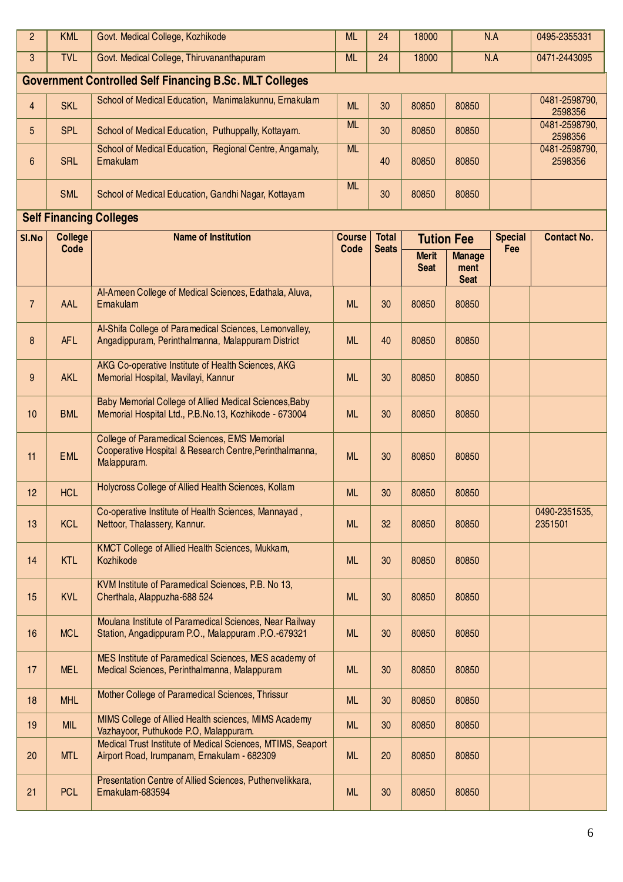| $\overline{2}$ | <b>KML</b>             | Govt. Medical College, Kozhikode                                                                                        | <b>ML</b>             | 24                           | 18000                       |                                      | N.A                   | 0495-2355331             |
|----------------|------------------------|-------------------------------------------------------------------------------------------------------------------------|-----------------------|------------------------------|-----------------------------|--------------------------------------|-----------------------|--------------------------|
| 3              | <b>TVL</b>             | Govt. Medical College, Thiruvananthapuram                                                                               | <b>ML</b>             | 24                           | 18000                       |                                      | N.A                   | 0471-2443095             |
|                |                        | <b>Government Controlled Self Financing B.Sc. MLT Colleges</b>                                                          |                       |                              |                             |                                      |                       |                          |
| $\overline{4}$ | <b>SKL</b>             | School of Medical Education, Manimalakunnu, Ernakulam                                                                   | <b>ML</b>             | 30                           | 80850                       | 80850                                |                       | 0481-2598790,<br>2598356 |
| 5              | <b>SPL</b>             | School of Medical Education, Puthuppally, Kottayam.                                                                     | <b>ML</b>             | 30                           | 80850                       | 80850                                |                       | 0481-2598790,<br>2598356 |
| 6              | <b>SRL</b>             | School of Medical Education, Regional Centre, Angamaly,<br>Ernakulam                                                    | <b>ML</b>             | 40                           | 80850                       | 80850                                |                       | 0481-2598790,<br>2598356 |
|                | <b>SML</b>             | School of Medical Education, Gandhi Nagar, Kottayam                                                                     | <b>ML</b>             | 30                           | 80850                       | 80850                                |                       |                          |
|                |                        | <b>Self Financing Colleges</b>                                                                                          |                       |                              |                             |                                      |                       |                          |
| Sl.No          | <b>College</b><br>Code | <b>Name of Institution</b>                                                                                              | <b>Course</b><br>Code | <b>Total</b><br><b>Seats</b> |                             | <b>Tution Fee</b>                    | <b>Special</b><br>Fee | <b>Contact No.</b>       |
|                |                        |                                                                                                                         |                       |                              | <b>Merit</b><br><b>Seat</b> | <b>Manage</b><br>ment<br><b>Seat</b> |                       |                          |
| $\overline{7}$ | AAL                    | Al-Ameen College of Medical Sciences, Edathala, Aluva,<br>Ernakulam                                                     | <b>ML</b>             | 30                           | 80850                       | 80850                                |                       |                          |
| 8              | <b>AFL</b>             | Al-Shifa College of Paramedical Sciences, Lemonvalley,<br>Angadippuram, Perinthalmanna, Malappuram District             | <b>ML</b>             | 40                           | 80850                       | 80850                                |                       |                          |
| 9              | <b>AKL</b>             | AKG Co-operative Institute of Health Sciences, AKG<br>Memorial Hospital, Mavilayi, Kannur                               | <b>ML</b>             | 30                           | 80850                       | 80850                                |                       |                          |
| 10             | <b>BML</b>             | Baby Memorial College of Allied Medical Sciences, Baby<br>Memorial Hospital Ltd., P.B.No.13, Kozhikode - 673004         | <b>ML</b>             | 30                           | 80850                       | 80850                                |                       |                          |
| 11             | <b>EML</b>             | College of Paramedical Sciences, EMS Memorial<br>Cooperative Hospital & Research Centre, Perinthalmanna,<br>Malappuram. | <b>ML</b>             | 30                           | 80850                       | 80850                                |                       |                          |
| 12             | <b>HCL</b>             | Holycross College of Allied Health Sciences, Kollam                                                                     | <b>ML</b>             | 30                           | 80850                       | 80850                                |                       |                          |
| 13             | <b>KCL</b>             | Co-operative Institute of Health Sciences, Mannayad,<br>Nettoor, Thalassery, Kannur.                                    | <b>ML</b>             | 32                           | 80850                       | 80850                                |                       | 0490-2351535,<br>2351501 |
| 14             | <b>KTL</b>             | KMCT College of Allied Health Sciences, Mukkam,<br>Kozhikode                                                            | <b>ML</b>             | 30                           | 80850                       | 80850                                |                       |                          |
| 15             | <b>KVL</b>             | KVM Institute of Paramedical Sciences, P.B. No 13,<br>Cherthala, Alappuzha-688 524                                      | <b>ML</b>             | 30                           | 80850                       | 80850                                |                       |                          |
| 16             | <b>MCL</b>             | Moulana Institute of Paramedical Sciences, Near Railway<br>Station, Angadippuram P.O., Malappuram .P.O.-679321          | <b>ML</b>             | 30                           | 80850                       | 80850                                |                       |                          |
| 17             | <b>MEL</b>             | MES Institute of Paramedical Sciences, MES academy of<br>Medical Sciences, Perinthalmanna, Malappuram                   | <b>ML</b>             | 30                           | 80850                       | 80850                                |                       |                          |
| 18             | <b>MHL</b>             | Mother College of Paramedical Sciences, Thrissur                                                                        | <b>ML</b>             | 30                           | 80850                       | 80850                                |                       |                          |
| 19             | <b>MIL</b>             | MIMS College of Allied Health sciences, MIMS Academy<br>Vazhayoor, Puthukode P.O, Malappuram.                           | <b>ML</b>             | 30                           | 80850                       | 80850                                |                       |                          |
| 20             | <b>MTL</b>             | Medical Trust Institute of Medical Sciences, MTIMS, Seaport<br>Airport Road, Irumpanam, Ernakulam - 682309              | <b>ML</b>             | 20                           | 80850                       | 80850                                |                       |                          |
| 21             | <b>PCL</b>             | Presentation Centre of Allied Sciences, Puthenvelikkara,<br>Ernakulam-683594                                            | <b>ML</b>             | 30                           | 80850                       | 80850                                |                       |                          |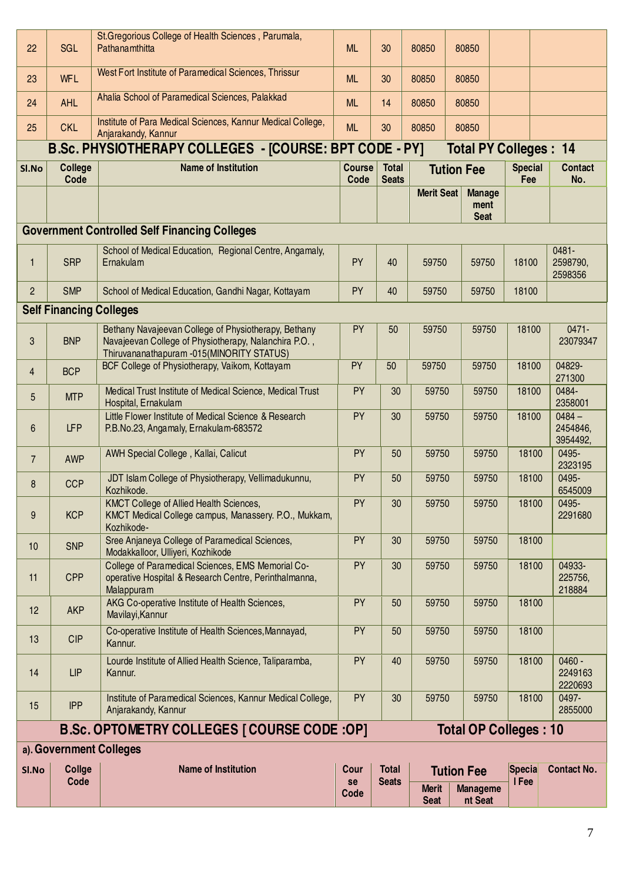| 22             | SGL                            | St. Gregorious College of Health Sciences, Parumala,<br>Pathanamthitta                                                                                     | <b>ML</b>             | 30                           | 80850                       | 80850                                |                       |                                  |
|----------------|--------------------------------|------------------------------------------------------------------------------------------------------------------------------------------------------------|-----------------------|------------------------------|-----------------------------|--------------------------------------|-----------------------|----------------------------------|
| 23             | <b>WFL</b>                     | West Fort Institute of Paramedical Sciences, Thrissur                                                                                                      | <b>ML</b>             | 30                           | 80850                       | 80850                                |                       |                                  |
| 24             | <b>AHL</b>                     | Ahalia School of Paramedical Sciences, Palakkad                                                                                                            | <b>ML</b>             | 14                           | 80850                       | 80850                                |                       |                                  |
| 25             | <b>CKL</b>                     | Institute of Para Medical Sciences, Kannur Medical College,<br>Anjarakandy, Kannur                                                                         | <b>ML</b>             | 30                           | 80850                       | 80850                                |                       |                                  |
|                |                                | B.Sc. PHYSIOTHERAPY COLLEGES - [COURSE: BPT CODE - PY]                                                                                                     |                       |                              |                             | <b>Total PY Colleges: 14</b>         |                       |                                  |
| Sl.No          | <b>College</b><br>Code         | <b>Name of Institution</b>                                                                                                                                 | <b>Course</b><br>Code | <b>Total</b><br><b>Seats</b> |                             | <b>Tution Fee</b>                    | <b>Special</b><br>Fee | <b>Contact</b><br>No.            |
|                |                                |                                                                                                                                                            |                       |                              | <b>Merit Seat</b>           | <b>Manage</b><br>ment<br><b>Seat</b> |                       |                                  |
|                |                                | <b>Government Controlled Self Financing Colleges</b>                                                                                                       |                       |                              |                             |                                      |                       |                                  |
| 1              | <b>SRP</b>                     | School of Medical Education, Regional Centre, Angamaly,<br>Ernakulam                                                                                       | PY                    | 40                           | 59750                       | 59750                                | 18100                 | 0481-<br>2598790,<br>2598356     |
| $\overline{2}$ | <b>SMP</b>                     | School of Medical Education, Gandhi Nagar, Kottayam                                                                                                        | <b>PY</b>             | 40                           | 59750                       | 59750                                | 18100                 |                                  |
|                | <b>Self Financing Colleges</b> |                                                                                                                                                            |                       |                              |                             |                                      |                       |                                  |
| 3              | <b>BNP</b>                     | Bethany Navajeevan College of Physiotherapy, Bethany<br>Navajeevan College of Physiotherapy, Nalanchira P.O.,<br>Thiruvananathapuram -015(MINORITY STATUS) | PY                    | 50                           | 59750                       | 59750                                | 18100                 | 0471-<br>23079347                |
| $\overline{4}$ | <b>BCP</b>                     | BCF College of Physiotherapy, Vaikom, Kottayam                                                                                                             | PY                    | 50                           | 59750<br>59750              |                                      | 18100                 | 04829-<br>271300                 |
| 5              | <b>MTP</b>                     | Medical Trust Institute of Medical Science, Medical Trust<br>Hospital, Ernakulam                                                                           | PY                    | 30                           | 59750<br>59750              |                                      | 18100                 | 0484-<br>2358001                 |
| 6              | <b>LFP</b>                     | Little Flower Institute of Medical Science & Research<br>P.B.No.23, Angamaly, Ernakulam-683572                                                             | PY                    | 30                           | 59750                       | 59750                                | 18100                 | $0484 -$<br>2454846,<br>3954492, |
| $\overline{7}$ | <b>AWP</b>                     | AWH Special College, Kallai, Calicut                                                                                                                       | PY                    | 50                           | 59750                       | 59750                                | 18100                 | 0495-<br>2323195                 |
| 8              | <b>CCP</b>                     | JDT Islam College of Physiotherapy, Vellimadukunnu,<br>Kozhikode.                                                                                          | PY                    | 50                           | 59750                       | 59750                                | 18100                 | 0495-<br>6545009                 |
| 9              | <b>KCP</b>                     | <b>KMCT College of Allied Health Sciences,</b><br>KMCT Medical College campus, Manassery. P.O., Mukkam,<br>Kozhikode-                                      | PY                    | 30                           | 59750                       | 59750                                | 18100                 | 0495-<br>2291680                 |
| 10             | <b>SNP</b>                     | Sree Anjaneya College of Paramedical Sciences,<br>Modakkalloor, Ulliyeri, Kozhikode                                                                        | <b>PY</b>             | 30                           | 59750                       | 59750                                | 18100                 |                                  |
| 11             | <b>CPP</b>                     | College of Paramedical Sciences, EMS Memorial Co-<br>operative Hospital & Research Centre, Perinthalmanna,<br>Malappuram                                   | <b>PY</b>             | 30                           | 59750                       | 59750                                | 18100                 | 04933-<br>225756,<br>218884      |
| 12             | <b>AKP</b>                     | AKG Co-operative Institute of Health Sciences,<br>Mavilayi, Kannur                                                                                         | <b>PY</b>             | 50                           | 59750                       | 59750                                | 18100                 |                                  |
| 13             | <b>CIP</b>                     | Co-operative Institute of Health Sciences, Mannayad,<br>Kannur.                                                                                            | <b>PY</b>             | 50                           | 59750                       | 59750                                | 18100                 |                                  |
| 14             | <b>LIP</b>                     | Lourde Institute of Allied Health Science, Taliparamba,<br>Kannur.                                                                                         | <b>PY</b>             | 40                           | 59750                       | 59750                                | 18100                 | $0460 -$<br>2249163<br>2220693   |
| 15             | <b>IPP</b>                     | Institute of Paramedical Sciences, Kannur Medical College,<br>Anjarakandy, Kannur                                                                          | <b>PY</b>             | 30                           | 59750                       | 59750                                | 18100                 | 0497-<br>2855000                 |
|                |                                | <b>B.Sc. OPTOMETRY COLLEGES [ COURSE CODE : OP]</b>                                                                                                        |                       |                              |                             | <b>Total OP Colleges: 10</b>         |                       |                                  |
|                | a). Government Colleges        |                                                                                                                                                            |                       |                              |                             |                                      |                       |                                  |
| SI.No          | Collge                         | <b>Name of Institution</b>                                                                                                                                 | Cour                  | <b>Total</b>                 |                             | <b>Tution Fee</b>                    | Specia                | <b>Contact No.</b>               |
|                | Code                           |                                                                                                                                                            | se<br>Code            | <b>Seats</b>                 | <b>Merit</b><br><b>Seat</b> | <b>Manageme</b><br>nt Seat           | I Fee                 |                                  |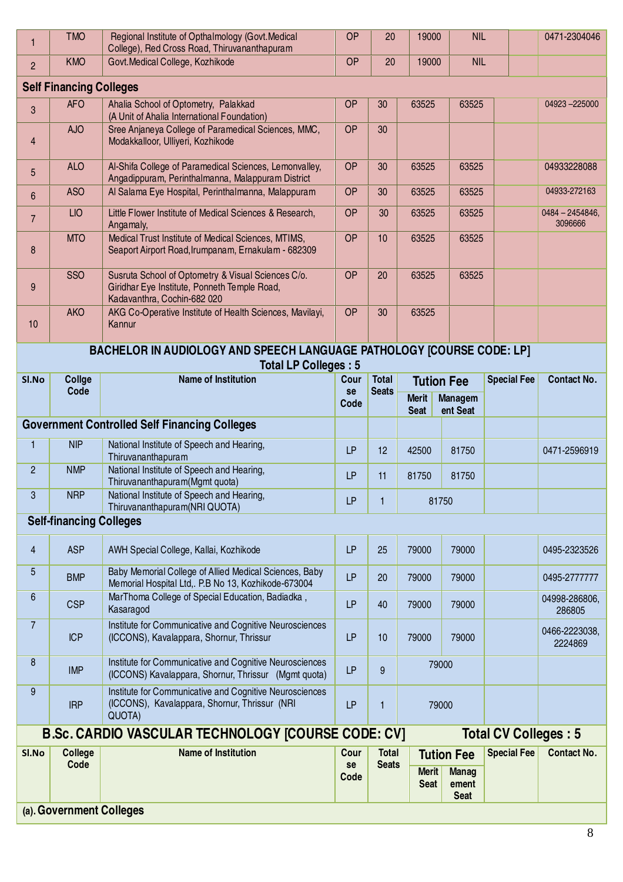| 6<br>7<br>8<br>9<br>SI.No    | <b>CSP</b><br><b>ICP</b><br><b>IMP</b><br><b>IRP</b><br><b>College</b><br>Code                                                                                        | MarThoma College of Special Education, Badiadka,<br>Kasaragod<br>Institute for Communicative and Cognitive Neurosciences<br>(ICCONS), Kavalappara, Shornur, Thrissur<br>Institute for Communicative and Cognitive Neurosciences<br>(ICCONS) Kavalappara, Shornur, Thrissur (Mgmt quota)<br>Institute for Communicative and Cognitive Neurosciences<br>(ICCONS), Kavalappara, Shornur, Thrissur (NRI<br>QUOTA)<br><b>B.Sc. CARDIO VASCULAR TECHNOLOGY [COURSE CODE: CV]</b><br><b>Name of Institution</b> | LP<br>LP<br><b>LP</b><br>LP<br>Cour<br>se<br>Code | 40<br>10<br>9<br>$\mathbf{1}$<br><b>Total</b><br><b>Seats</b> | 79000<br>79000<br>79000<br>79000<br><b>Merit</b><br><b>Seat</b> | 79000<br>79000<br><b>Tution Fee</b><br><b>Manag</b><br>ement | <b>Total CV Colleges: 5</b><br><b>Special Fee</b> | 286805<br>0466-2223038,<br>2224869<br><b>Contact No.</b> |  |
|------------------------------|-----------------------------------------------------------------------------------------------------------------------------------------------------------------------|----------------------------------------------------------------------------------------------------------------------------------------------------------------------------------------------------------------------------------------------------------------------------------------------------------------------------------------------------------------------------------------------------------------------------------------------------------------------------------------------------------|---------------------------------------------------|---------------------------------------------------------------|-----------------------------------------------------------------|--------------------------------------------------------------|---------------------------------------------------|----------------------------------------------------------|--|
|                              |                                                                                                                                                                       |                                                                                                                                                                                                                                                                                                                                                                                                                                                                                                          |                                                   |                                                               |                                                                 |                                                              |                                                   |                                                          |  |
|                              |                                                                                                                                                                       |                                                                                                                                                                                                                                                                                                                                                                                                                                                                                                          |                                                   |                                                               |                                                                 |                                                              |                                                   |                                                          |  |
|                              |                                                                                                                                                                       |                                                                                                                                                                                                                                                                                                                                                                                                                                                                                                          |                                                   |                                                               |                                                                 |                                                              |                                                   |                                                          |  |
|                              |                                                                                                                                                                       |                                                                                                                                                                                                                                                                                                                                                                                                                                                                                                          |                                                   |                                                               |                                                                 |                                                              |                                                   |                                                          |  |
|                              |                                                                                                                                                                       |                                                                                                                                                                                                                                                                                                                                                                                                                                                                                                          |                                                   |                                                               |                                                                 |                                                              |                                                   |                                                          |  |
|                              |                                                                                                                                                                       |                                                                                                                                                                                                                                                                                                                                                                                                                                                                                                          |                                                   |                                                               |                                                                 |                                                              |                                                   | 04998-286806,                                            |  |
| 5                            | <b>BMP</b>                                                                                                                                                            | Baby Memorial College of Allied Medical Sciences, Baby<br>Memorial Hospital Ltd,. P.B No 13, Kozhikode-673004                                                                                                                                                                                                                                                                                                                                                                                            | LP                                                | 20                                                            | 79000                                                           | 79000                                                        |                                                   | 0495-2777777                                             |  |
| $\overline{4}$               | <b>ASP</b>                                                                                                                                                            | AWH Special College, Kallai, Kozhikode                                                                                                                                                                                                                                                                                                                                                                                                                                                                   | LP                                                | 25                                                            | 79000                                                           | 79000                                                        |                                                   | 0495-2323526                                             |  |
|                              | <b>Self-financing Colleges</b>                                                                                                                                        |                                                                                                                                                                                                                                                                                                                                                                                                                                                                                                          |                                                   |                                                               |                                                                 |                                                              |                                                   |                                                          |  |
| 3                            | <b>NRP</b>                                                                                                                                                            | National Institute of Speech and Hearing,<br>Thiruvananthapuram(NRI QUOTA)                                                                                                                                                                                                                                                                                                                                                                                                                               | LP                                                | $\mathbf{1}$                                                  | 81750                                                           |                                                              |                                                   |                                                          |  |
| $\overline{2}$               | <b>NMP</b>                                                                                                                                                            | National Institute of Speech and Hearing,<br>Thiruvananthapuram(Mgmt quota)                                                                                                                                                                                                                                                                                                                                                                                                                              | LP                                                | 11                                                            | 81750                                                           | 81750                                                        |                                                   |                                                          |  |
| $\mathbf{1}$                 | <b>NIP</b>                                                                                                                                                            | National Institute of Speech and Hearing,<br>Thiruvananthapuram                                                                                                                                                                                                                                                                                                                                                                                                                                          | LP                                                | 12                                                            | 42500                                                           | 81750                                                        |                                                   | 0471-2596919                                             |  |
|                              |                                                                                                                                                                       | <b>Government Controlled Self Financing Colleges</b>                                                                                                                                                                                                                                                                                                                                                                                                                                                     |                                                   |                                                               | <b>Seat</b>                                                     | ent Seat                                                     |                                                   |                                                          |  |
|                              | Code                                                                                                                                                                  |                                                                                                                                                                                                                                                                                                                                                                                                                                                                                                          | se<br>Code                                        | <b>Seats</b>                                                  | Merit                                                           | <b>Managem</b>                                               |                                                   |                                                          |  |
|                              | <b>Total LP Colleges: 5</b><br><b>Name of Institution</b><br>Collge<br><b>Total</b><br><b>Special Fee</b><br><b>Contact No.</b><br>Sl.No<br>Cour<br><b>Tution Fee</b> |                                                                                                                                                                                                                                                                                                                                                                                                                                                                                                          |                                                   |                                                               |                                                                 |                                                              |                                                   |                                                          |  |
| 10                           |                                                                                                                                                                       | Kannur<br>BACHELOR IN AUDIOLOGY AND SPEECH LANGUAGE PATHOLOGY [COURSE CODE: LP]                                                                                                                                                                                                                                                                                                                                                                                                                          |                                                   |                                                               |                                                                 |                                                              |                                                   |                                                          |  |
|                              | <b>AKO</b>                                                                                                                                                            | Kadavanthra, Cochin-682 020<br>AKG Co-Operative Institute of Health Sciences, Mavilayi,                                                                                                                                                                                                                                                                                                                                                                                                                  | <b>OP</b>                                         | 30                                                            | 63525                                                           |                                                              |                                                   |                                                          |  |
| 9                            | <b>SSO</b>                                                                                                                                                            | Susruta School of Optometry & Visual Sciences C/o.<br>Giridhar Eye Institute, Ponneth Temple Road,                                                                                                                                                                                                                                                                                                                                                                                                       | <b>OP</b>                                         | 20                                                            | 63525                                                           | 63525                                                        |                                                   |                                                          |  |
| 8                            | <b>MTO</b>                                                                                                                                                            | Medical Trust Institute of Medical Sciences, MTIMS,<br>Seaport Airport Road, Irumpanam, Ernakulam - 682309                                                                                                                                                                                                                                                                                                                                                                                               | <b>OP</b>                                         | 10                                                            | 63525                                                           | 63525                                                        |                                                   |                                                          |  |
| $\overline{7}$               | <b>LIO</b>                                                                                                                                                            | Little Flower Institute of Medical Sciences & Research,<br>Angamaly,                                                                                                                                                                                                                                                                                                                                                                                                                                     | <b>OP</b>                                         | 30                                                            | 63525                                                           | 63525                                                        |                                                   | $0484 - 2454846,$<br>3096666                             |  |
| 6                            | <b>ASO</b>                                                                                                                                                            | Angadippuram, Perinthalmanna, Malappuram District<br>Al Salama Eye Hospital, Perinthalmanna, Malappuram                                                                                                                                                                                                                                                                                                                                                                                                  | <b>OP</b>                                         | 30                                                            | 63525                                                           | 63525                                                        |                                                   | 04933-272163                                             |  |
| $\overline{\mathbf{4}}$<br>5 | <b>ALO</b>                                                                                                                                                            | Modakkalloor, Ulliyeri, Kozhikode<br>Al-Shifa College of Paramedical Sciences, Lemonvalley,                                                                                                                                                                                                                                                                                                                                                                                                              | <b>OP</b>                                         | 30                                                            | 63525                                                           | 63525                                                        |                                                   | 04933228088                                              |  |
| 3                            | <b>AJO</b>                                                                                                                                                            | (A Unit of Ahalia International Foundation)<br>Sree Anjaneya College of Paramedical Sciences, MMC,                                                                                                                                                                                                                                                                                                                                                                                                       | <b>OP</b>                                         | 30                                                            |                                                                 |                                                              |                                                   |                                                          |  |
|                              | <b>Self Financing Colleges</b><br><b>AFO</b>                                                                                                                          | Ahalia School of Optometry, Palakkad                                                                                                                                                                                                                                                                                                                                                                                                                                                                     | <b>OP</b>                                         | 30                                                            | 63525                                                           | 63525                                                        |                                                   | 04923-225000                                             |  |
| $\overline{2}$               | <b>KMO</b>                                                                                                                                                            | Govt. Medical College, Kozhikode                                                                                                                                                                                                                                                                                                                                                                                                                                                                         | <b>OP</b>                                         | 20                                                            | 19000                                                           | <b>NIL</b>                                                   |                                                   |                                                          |  |
|                              | <b>TMO</b>                                                                                                                                                            | Regional Institute of Opthalmology (Govt. Medical<br>College), Red Cross Road, Thiruvananthapuram                                                                                                                                                                                                                                                                                                                                                                                                        | <b>OP</b>                                         | 20                                                            | 19000                                                           | <b>NIL</b>                                                   |                                                   | 0471-2304046                                             |  |